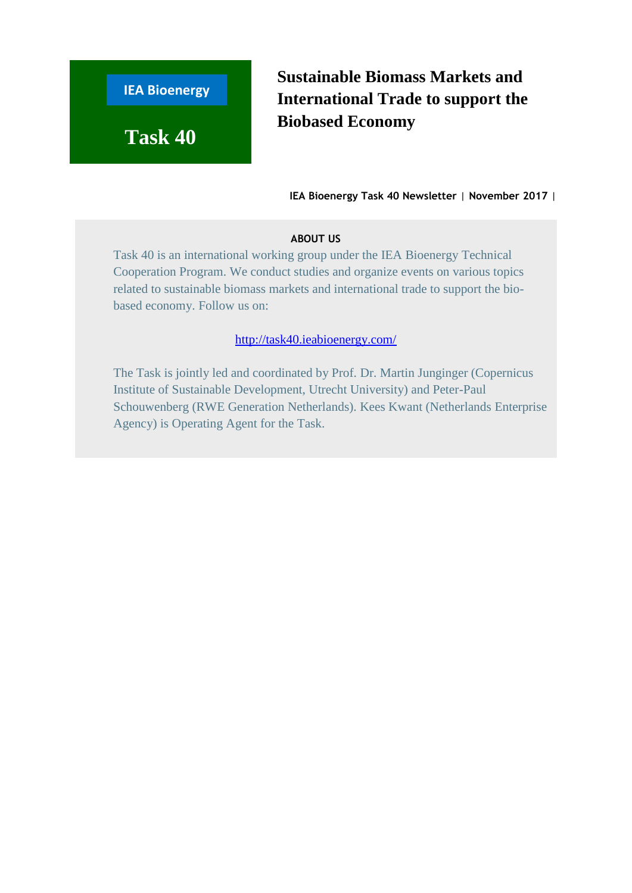

**Sustainable Biomass Markets and International Trade to support the Biobased Economy**

**IEA Bioenergy Task 40 Newsletter** | **November 2017** |

### **ABOUT US**

Task 40 is an international working group under the IEA Bioenergy Technical Cooperation Program. We conduct studies and organize events on various topics related to sustainable biomass markets and international trade to support the biobased economy. Follow us on:

<http://task40.ieabioenergy.com/>

The Task is jointly led and coordinated by Prof. Dr. Martin Junginger (Copernicus Institute of Sustainable Development, Utrecht University) and Peter-Paul Schouwenberg (RWE Generation Netherlands). Kees Kwant (Netherlands Enterprise Agency) is Operating Agent for the Task.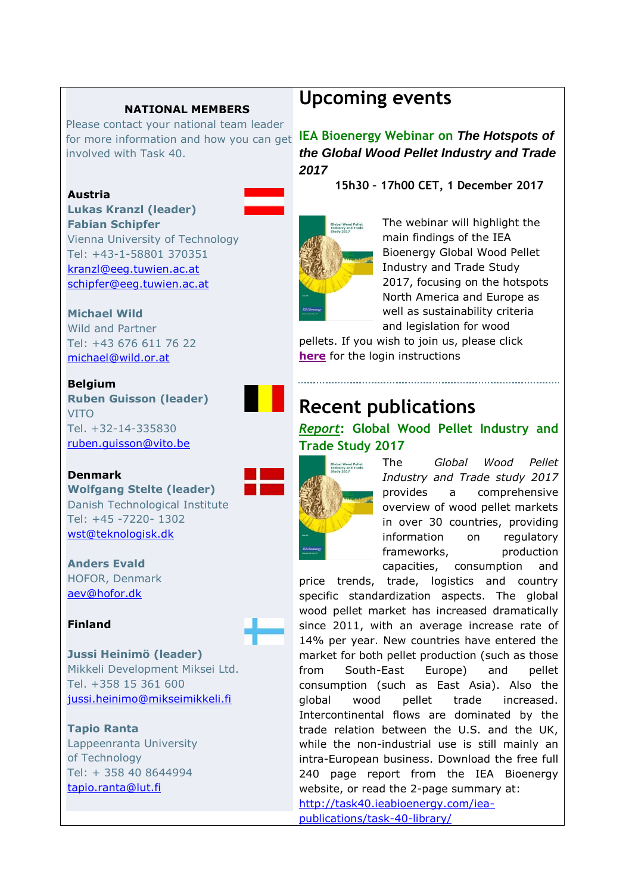## **NATIONAL MEMBERS**

Please contact your national team leader involved with Task 40.

### **Austria**

**Lukas Kranzl (leader) Fabian Schipfer** Vienna University of Technology Tel: +43-1-58801 370351 [kranzl@eeg.tuwien.ac.at](mailto:kranzl@eeg.tuwien.ac.at) [schipfer@eeg.tuwien.ac.at](mailto:schipfer@eeg.tuwien.ac.at)

#### **Michael Wild**

Wild and Partner Tel: +43 676 611 76 22 [michael@wild.or.at](mailto:michael@wild.or.at)

#### **Belgium**

**Ruben Guisson (leader)** VITO Tel. +32-14-335830 [ruben.guisson@vito.be](mailto:ruben.guisson@vito.be)

# **Denmark**

**Wolfgang Stelte (leader)** Danish Technological Institute Tel: +45 -7220- 1302 [wst@teknologisk.dk](mailto:wst@teknologisk.dk)

**Anders Evald** HOFOR, Denmark [aev@hofor.dk](mailto:aev@hofor.dk)

## **Finland**

**Jussi Heinimö (leader)** Mikkeli Development Miksei Ltd. Tel. +358 15 361 600 [jussi.heinimo@mikseimikkeli.fi](mailto:jussi.heinimo@mikseimikkeli.fi)

#### **Tapio Ranta**

Lappeenranta University of Technology Tel: + 358 40 8644994 [tapio.ranta@lut.fi](mailto:tapio.ranta@lut.fi)

# **Upcoming events**

for more information and how you can get **IEA Bioenergy Webinar on** *The Hotspots of the Global Wood Pellet Industry and Trade 2017*

**15h30 – 17h00 CET, 1 December 2017**



The webinar will highlight the main findings of the IEA Bioenergy Global Wood Pellet Industry and Trade Study 2017, focusing on the hotspots North America and Europe as well as sustainability criteria and legislation for wood

pellets. If you wish to join us, please click **[here](http://task40.ieabioenergy.com/events/)** for the login instructions

# **Recent publications**

# *Report***: Global Wood Pellet Industry and Trade Study 2017**



The *Global Wood Pellet Industry and Trade study 2017* provides a comprehensive overview of wood pellet markets in over 30 countries, providing information on regulatory frameworks, production capacities, consumption and

price trends, trade, logistics and country specific standardization aspects. The global wood pellet market has increased dramatically since 2011, with an average increase rate of 14% per year. New countries have entered the market for both pellet production (such as those from South-East Europe) and pellet consumption (such as East Asia). Also the global wood pellet trade increased. Intercontinental flows are dominated by the trade relation between the U.S. and the UK, while the non-industrial use is still mainly an intra-European business. Download the free full 240 page report from the IEA Bioenergy website, or read the 2-page summary at: [http://task40.ieabioenergy.com/iea-](http://task40.ieabioenergy.com/iea-publications/task-40-library/)

[publications/task-40-library/](http://task40.ieabioenergy.com/iea-publications/task-40-library/)

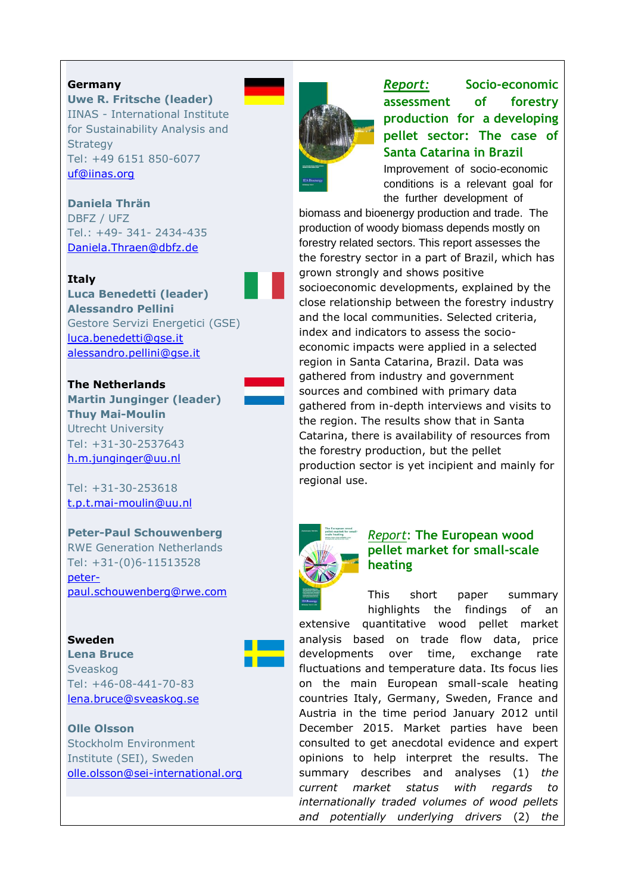#### **Germany**

**Uwe R. Fritsche (leader)** IINAS - International Institute for Sustainability Analysis and **Strategy** Tel: +49 6151 850-6077 [uf@iinas.org](mailto:uf@iinas.org)

**Daniela Thrän** DBFZ / UFZ Tel.: +49- 341- 2434-435 [Daniela.Thraen@dbfz.de](mailto:Daniela.Thraen@dbfz.de)

#### **Italy**

**Luca Benedetti (leader) Alessandro Pellini** Gestore Servizi Energetici (GSE) [luca.benedetti@gse.it](mailto:luca.benedetti@gse.it) [alessandro.pellini@gse.it](mailto:alessandro.pellini@gse.it)

#### **The Netherlands**

**Martin Junginger (leader) Thuy Mai-Moulin** Utrecht University Tel: +31-30-2537643 [h.m.junginger@uu.nl](mailto:h.m.junginger@uu.nl)

Tel: +31-30-253618 [t.p.t.mai-moulin@uu.nl](mailto:t.p.t.mai-moulin@uu.nl)

**Peter-Paul Schouwenberg** RWE Generation Netherlands Tel: +31-(0)6-11513528 [peter](mailto:peter-paul.schouwenberg@rwe.com)[paul.schouwenberg@rwe.com](mailto:peter-paul.schouwenberg@rwe.com)

#### **Sweden**

**Lena Bruce** Sveaskog Tel: +46-08-441-70-83 [lena.bruce@sveaskog.se](mailto:lena.bruce@sveaskog.se)

#### **Olle Olsson**

Stockholm Environment Institute (SEI), Sweden [olle.olsson@sei-international.org](mailto:olle.olsson@sei-international.org)



*Report:* **Socio-economic assessment of forestry production for a developing pellet sector: The case of Santa Catarina in Brazil** Improvement of socio-economic

conditions is a relevant goal for the further development of

biomass and bioenergy production and trade. The production of woody biomass depends mostly on forestry related sectors. This report assesses the the forestry sector in a part of Brazil, which has grown strongly and shows positive socioeconomic developments, explained by the close relationship between the forestry industry and the local communities. Selected criteria, index and indicators to assess the socioeconomic impacts were applied in a selected region in Santa Catarina, Brazil. Data was gathered from industry and government sources and combined with primary data gathered from in-depth interviews and visits to the region. The results show that in Santa Catarina, there is availability of resources from the forestry production, but the pellet production sector is yet incipient and mainly for regional use.



### *Report*: **The European wood pellet market for small-scale heating**

This short paper summary highlights the findings of an extensive quantitative wood pellet market analysis based on trade flow data, price developments over time, exchange rate fluctuations and temperature data. Its focus lies on the main European small-scale heating countries Italy, Germany, Sweden, France and Austria in the time period January 2012 until December 2015. Market parties have been consulted to get anecdotal evidence and expert opinions to help interpret the results. The summary describes and analyses (1) *the current market status with regards to internationally traded volumes of wood pellets and potentially underlying drivers* (2) *the*